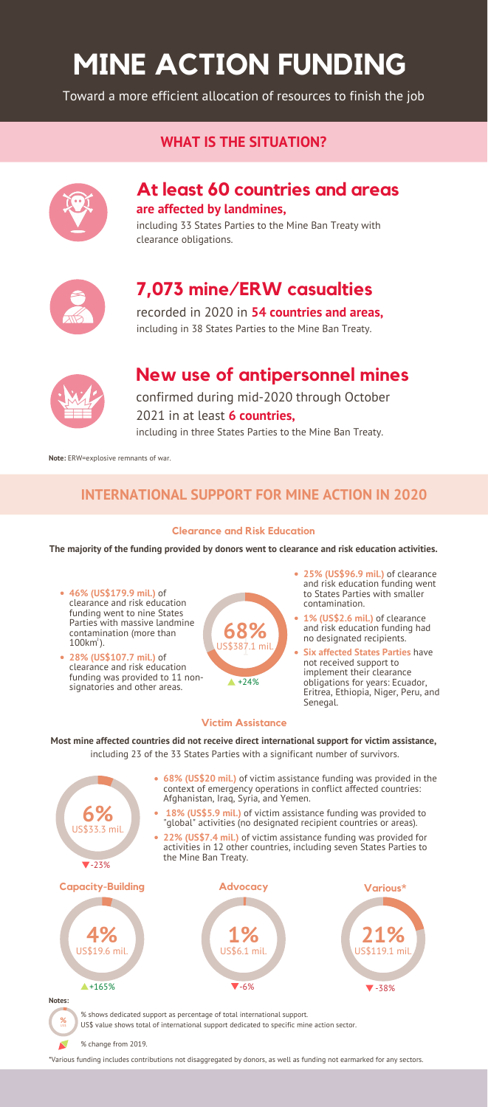# **MINE ACTION FUNDING**

Toward a more efficient allocation of resources to finish the job

# **At least 60 countries and areas are affected by landmines,**

including 33 States Parties to the Mine Ban Treaty with clearance obligations.



# **7,073 mine/ERW casualties**

recorded in 2020 in **54 countries and areas,** including in 38 States Parties to the Mine Ban Treaty.



# **New use of antipersonnel mines**

confirmed during mid-2020 through October 2021 in at least **6 countries,** including in three States Parties to the Mine Ban Treaty.

# **WHAT IS THE SITUATION?**



## **INTERNATIONAL SUPPORT FOR MINE ACTION IN 2020**

**Most mine affected countries did not receive direct international support for victim assistance,**

including 23 of the 33 States Parties with a significant number of survivors.



- **68% (US\$20 mil.)** of victim assistance funding was provided in the context of emergency operations in conflict affected countries: Afghanistan, Iraq, Syria, and Yemen.
- **18% (US\$5.9 mil.)** of victim assistance funding was provided to "global" activities (no designated recipient countries or areas).
- **22% (US\$7.4 mil.)** of victim assistance funding was provided for activities in 12 other countries, including seven States Parties to the Mine Ban Treaty.

#### **Victim Assistance**





**The majority of the funding provided by donors went to clearance and risk education activities.**

#### **Clearance and Risk Education**

% change from 2019.

\*Various funding includes contributions not disaggregated by donors, as well as funding not earmarked for any sectors.

**Note:** ERW=explosive remnants of war.

clearance and risk education funding was provided to 11 nonsignatories and other areas.

- **46% (US\$179.9 mil.)** of clearance and risk education funding went to nine States Parties with massive landmine contamination (more than  $100 \text{km}^2$ ).
- **28% (US\$107.7 mil.)** of
- **68%** US\$387.1 mil.
- **25% (US\$96.9 mil.)** of clearance and risk education funding went to States Parties with smaller contamination.
	- **1% (US\$2.6 mil.)** of clearance and risk education funding had no designated recipients.
	- **Six affected States Parties** have not received support to

implement their clearance obligations for years: Ecuador, Eritrea, Ethiopia, Niger, Peru, and Senegal.